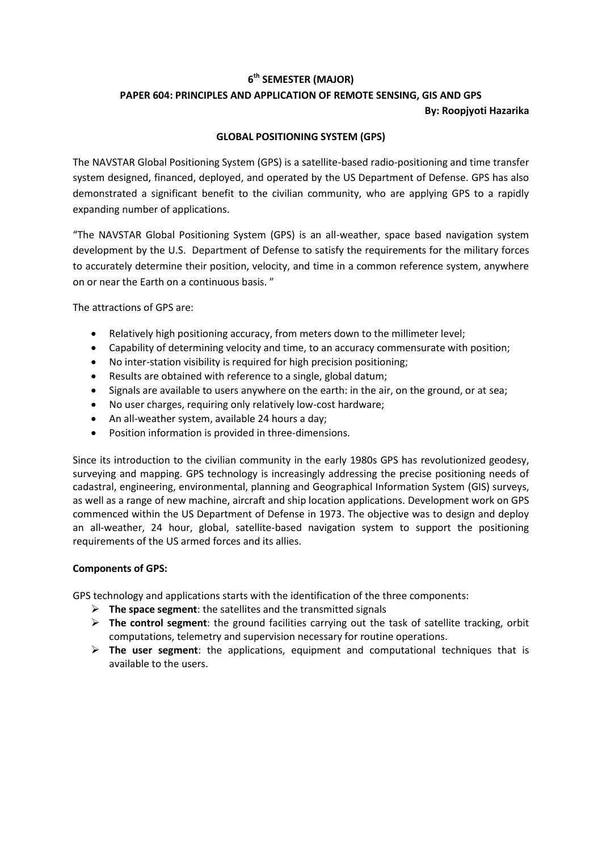## **6 th SEMESTER (MAJOR)**

# **PAPER 604: PRINCIPLES AND APPLICATION OF REMOTE SENSING, GIS AND GPS By: Roopjyoti Hazarika**

## **GLOBAL POSITIONING SYSTEM (GPS)**

The NAVSTAR Global Positioning System (GPS) is a satellite-based radio-positioning and time transfer system designed, financed, deployed, and operated by the US Department of Defense. GPS has also demonstrated a significant benefit to the civilian community, who are applying GPS to a rapidly expanding number of applications.

"The NAVSTAR Global Positioning System (GPS) is an all-weather, space based navigation system development by the U.S. Department of Defense to satisfy the requirements for the military forces to accurately determine their position, velocity, and time in a common reference system, anywhere on or near the Earth on a continuous basis. "

The attractions of GPS are:

- Relatively high positioning accuracy, from meters down to the millimeter level;
- Capability of determining velocity and time, to an accuracy commensurate with position;
- No inter-station visibility is required for high precision positioning;
- Results are obtained with reference to a single, global datum;
- Signals are available to users anywhere on the earth: in the air, on the ground, or at sea;
- No user charges, requiring only relatively low-cost hardware;
- An all-weather system, available 24 hours a day;
- Position information is provided in three-dimensions.

Since its introduction to the civilian community in the early 1980s GPS has revolutionized geodesy, surveying and mapping. GPS technology is increasingly addressing the precise positioning needs of cadastral, engineering, environmental, planning and Geographical Information System (GIS) surveys, as well as a range of new machine, aircraft and ship location applications. Development work on GPS commenced within the US Department of Defense in 1973. The objective was to design and deploy an all-weather, 24 hour, global, satellite-based navigation system to support the positioning requirements of the US armed forces and its allies.

### **Components of GPS:**

GPS technology and applications starts with the identification of the three components:

- **The space segment**: the satellites and the transmitted signals
- **The control segment**: the ground facilities carrying out the task of satellite tracking, orbit computations, telemetry and supervision necessary for routine operations.
- **The user segment**: the applications, equipment and computational techniques that is available to the users.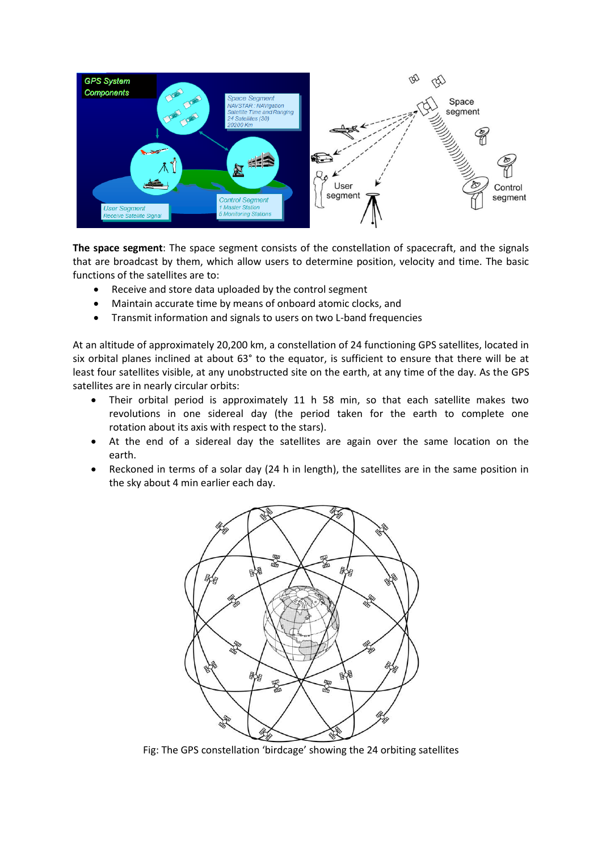

**The space segment**: The space segment consists of the constellation of spacecraft, and the signals that are broadcast by them, which allow users to determine position, velocity and time. The basic functions of the satellites are to:

- Receive and store data uploaded by the control segment
- Maintain accurate time by means of onboard atomic clocks, and
- Transmit information and signals to users on two L-band frequencies

At an altitude of approximately 20,200 km, a constellation of 24 functioning GPS satellites, located in six orbital planes inclined at about 63° to the equator, is sufficient to ensure that there will be at least four satellites visible, at any unobstructed site on the earth, at any time of the day. As the GPS satellites are in nearly circular orbits:

- Their orbital period is approximately 11 h 58 min, so that each satellite makes two revolutions in one sidereal day (the period taken for the earth to complete one rotation about its axis with respect to the stars).
- At the end of a sidereal day the satellites are again over the same location on the earth.
- Reckoned in terms of a solar day (24 h in length), the satellites are in the same position in the sky about 4 min earlier each day.



Fig: The GPS constellation 'birdcage' showing the 24 orbiting satellites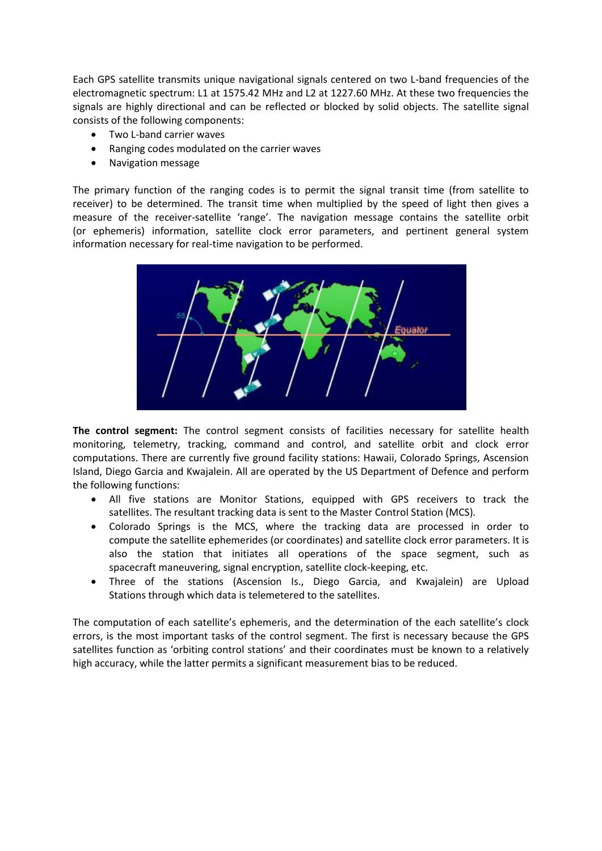Each GPS satellite transmits unique navigational signals centered on two L-band frequencies of the electromagnetic spectrum: L1 at 1575.42 MHz and L2 at 1227.60 MHz. At these two frequencies the signals are highly directional and can be reflected or blocked by solid objects. The satellite signal consists of the following components:

- Two L-band carrier waves
- Ranging codes modulated on the carrier waves
- Navigation message

The primary function of the ranging codes is to permit the signal transit time (from satellite to receiver) to be determined. The transit time when multiplied by the speed of light then gives a measure of the receiver-satellite 'range'. The navigation message contains the satellite orbit (or ephemeris) information, satellite clock error parameters, and pertinent general system information necessary for real-time navigation to be performed.



**The control segment:** The control segment consists of facilities necessary for satellite health monitoring, telemetry, tracking, command and control, and satellite orbit and clock error computations. There are currently five ground facility stations: Hawaii, Colorado Springs, Ascension Island, Diego Garcia and Kwajalein. All are operated by the US Department of Defence and perform the following functions:

- All five stations are Monitor Stations, equipped with GPS receivers to track the satellites. The resultant tracking data is sent to the Master Control Station (MCS).
- Colorado Springs is the MCS, where the tracking data are processed in order to compute the satellite ephemerides (or coordinates) and satellite clock error parameters. It is also the station that initiates all operations of the space segment, such as spacecraft maneuvering, signal encryption, satellite clock-keeping, etc.
- Three of the stations (Ascension Is., Diego Garcia, and Kwajalein) are Upload Stations through which data is telemetered to the satellites.

The computation of each satellite's ephemeris, and the determination of the each satellite's clock errors, is the most important tasks of the control segment. The first is necessary because the GPS satellites function as 'orbiting control stations' and their coordinates must be known to a relatively high accuracy, while the latter permits a significant measurement bias to be reduced.